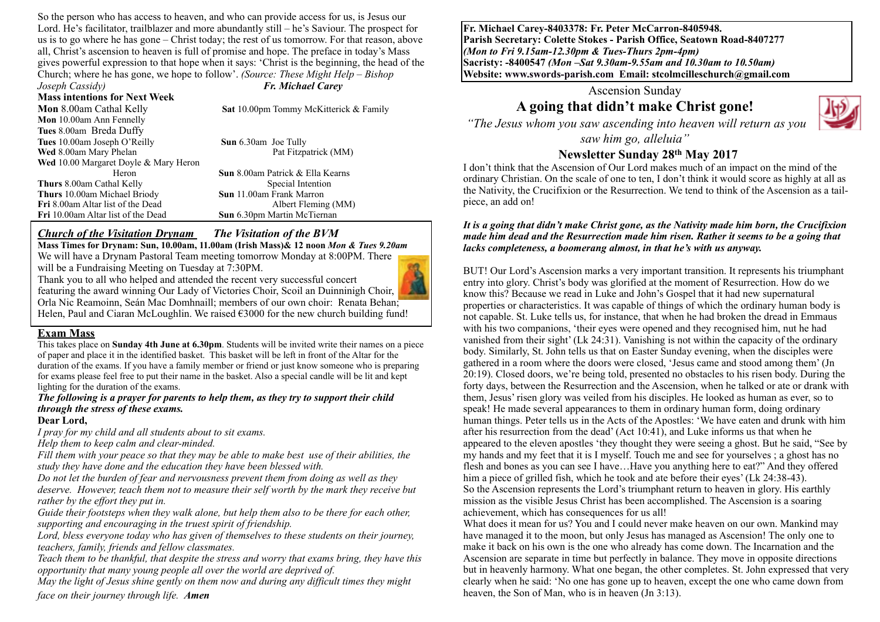So the person who has access to heaven, and who can provide access for us, is Jesus our Lord. He's facilitator, trailblazer and more abundantly still – he's Saviour. The prospect for us is to go where he has gone – Christ today; the rest of us tomorrow. For that reason, above all, Christ's ascension to heaven is full of promise and hope. The preface in today's Mass gives powerful expression to that hope when it says: 'Christ is the beginning, the head of the Church; where he has gone, we hope to follow'. *(Source: These Might Help – Bishop Joseph Cassidy) Fr. Michael Carey*

#### **Mass intentions for Next Week Mon** 8.00am Cathal Kelly **Sat** 10.00pm Tommy McKitterick & Family **Mon** 10.00am Ann Fennelly **Tues** 8.00am Breda Duffy **Tues** 10.00am Joseph O'Reilly **Sun** 6.30am Joe Tully **Wed** 8.00am Mary Phelan **Pat Fitzpatrick (MM) Wed** 10.00 Margaret Doyle & Mary Heron Heron **Sun** 8.00am Patrick & Ella Kearns **Thurs** 8.00am Cathal Kelly Special Intention **Thurs** 10.00am Michael Briody **Sun** 11.00am Frank Marron **Fri** 8.00am Altar list of the Dead Albert Fleming (MM) **Fri** 10.00am Altar list of the Dead **Sun** 6.30pm Martin McTiernan

#### *Church of the Visitation Drynam**The Visitation of the BVM*

**Mass Times for Drynam: Sun, 10.00am, 11.00am (Irish Mass)& 12 noon** *Mon & Tues 9.20am* We will have a Drynam Pastoral Team meeting tomorrow Monday at 8:00PM. There will be a Fundraising Meeting on Tuesday at 7:30PM.

Thank you to all who helped and attended the recent very successful concert featuring the award winning Our Lady of Victories Choir, Scoil an Duinninigh Choir, Orla Nic Reamoinn, Seán Mac Domhnaill; members of our own choir: Renata Behan; Helen, Paul and Ciaran McLoughlin. We raised  $\epsilon$ 3000 for the new church building fund!

#### **Exam Mass**

This takes place on **Sunday 4th June at 6.30pm**. Students will be invited write their names on a piece of paper and place it in the identified basket. This basket will be left in front of the Altar for the duration of the exams. If you have a family member or friend or just know someone who is preparing for exams please feel free to put their name in the basket. Also a special candle will be lit and kept lighting for the duration of the exams.

#### *The following is a prayer for parents to help them, as they try to support their child through the stress of these exams.*

#### **Dear Lord,**

*I pray for my child and all students about to sit exams.*

*Help them to keep calm and clear-minded.*

*Fill them with your peace so that they may be able to make best use of their abilities, the study they have done and the education they have been blessed with.*

*Do not let the burden of fear and nervousness prevent them from doing as well as they deserve. However, teach them not to measure their self worth by the mark they receive but rather by the effort they put in.*

*Guide their footsteps when they walk alone, but help them also to be there for each other, supporting and encouraging in the truest spirit of friendship.*

*Lord, bless everyone today who has given of themselves to these students on their journey, teachers, family, friends and fellow classmates.*

*Teach them to be thankful, that despite the stress and worry that exams bring, they have this opportunity that many young people all over the world are deprived of.* 

*May the light of Jesus shine gently on them now and during any difficult times they might face on their journey through life. Amen*

**Fr. Michael Carey-8403378: Fr. Peter McCarron-8405948. Parish Secretary: Colette Stokes - Parish Office, Seatown Road-8407277**  *(Mon to Fri 9.15am-12.30pm & Tues-Thurs 2pm-4pm)*  **Sacristy: -8400547** *(Mon –Sat 9.30am-9.55am and 10.30am to 10.50am)* **Website: [www.swords-parish.com Email:](http://www.swords-parish.com%20%20email) stcolmcilleschurch@gmail.com**

Ascension Sunday

# **A going that didn't make Christ gone!**



 *"The Jesus whom you saw ascending into heaven will return as you* 

*saw him go, alleluia"* 

## **Newsletter Sunday 28th May 2017**

I don't think that the Ascension of Our Lord makes much of an impact on the mind of the ordinary Christian. On the scale of one to ten, I don't think it would score as highly at all as the Nativity, the Crucifixion or the Resurrection. We tend to think of the Ascension as a tailpiece, an add on!

#### *It is a going that didn't make Christ gone, as the Nativity made him born, the Crucifixion made him dead and the Resurrection made him risen. Rather it seems to be a going that lacks completeness, a boomerang almost, in that he's with us anyway.*

BUT! Our Lord's Ascension marks a very important transition. It represents his triumphant entry into glory. Christ's body was glorified at the moment of Resurrection. How do we know this? Because we read in Luke and John's Gospel that it had new supernatural properties or characteristics. It was capable of things of which the ordinary human body is not capable. St. Luke tells us, for instance, that when he had broken the dread in Emmaus with his two companions, 'their eyes were opened and they recognised him, nut he had vanished from their sight' (Lk 24:31). Vanishing is not within the capacity of the ordinary body. Similarly, St. John tells us that on Easter Sunday evening, when the disciples were gathered in a room where the doors were closed, 'Jesus came and stood among them' (Jn 20:19). Closed doors, we're being told, presented no obstacles to his risen body. During the forty days, between the Resurrection and the Ascension, when he talked or ate or drank with them, Jesus' risen glory was veiled from his disciples. He looked as human as ever, so to speak! He made several appearances to them in ordinary human form, doing ordinary human things. Peter tells us in the Acts of the Apostles: 'We have eaten and drunk with him after his resurrection from the dead' (Act 10:41), and Luke informs us that when he appeared to the eleven apostles 'they thought they were seeing a ghost. But he said, "See by my hands and my feet that it is I myself. Touch me and see for yourselves ; a ghost has no flesh and bones as you can see I have…Have you anything here to eat?" And they offered him a piece of grilled fish, which he took and ate before their eyes' (Lk 24:38-43). So the Ascension represents the Lord's triumphant return to heaven in glory. His earthly mission as the visible Jesus Christ has been accomplished. The Ascension is a soaring achievement, which has consequences for us all!

What does it mean for us? You and I could never make heaven on our own. Mankind may have managed it to the moon, but only Jesus has managed as Ascension! The only one to make it back on his own is the one who already has come down. The Incarnation and the Ascension are separate in time but perfectly in balance. They move in opposite directions but in heavenly harmony. What one began, the other completes. St. John expressed that very clearly when he said: 'No one has gone up to heaven, except the one who came down from heaven, the Son of Man, who is in heaven (Jn 3:13).